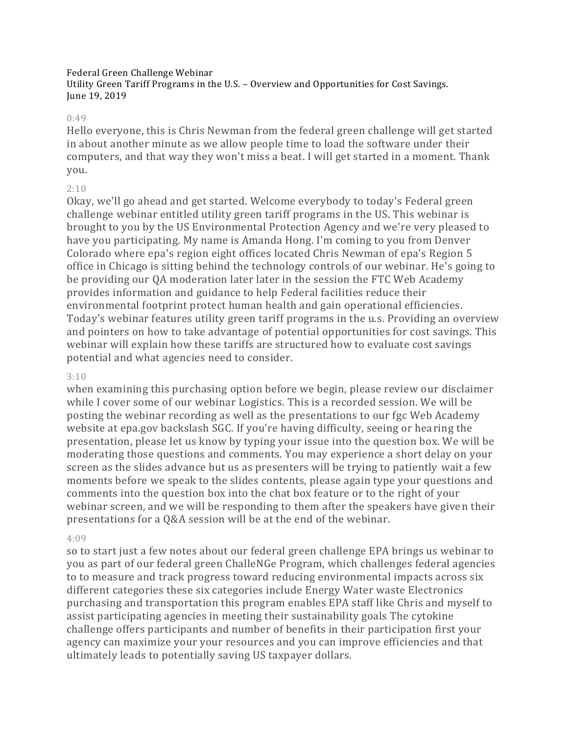## Federal Green Challenge Webinar

Utility Green Tariff Programs in the U.S. – Overview and Opportunities for Cost Savings. June 19, 2019

#### 0:49

Hello everyone, this is Chris Newman from the federal green challenge will get started in about another minute as we allow people time to load the software under their computers, and that way they won't miss a beat. I will get started in a moment. Thank you.

## 2:10

Okay, we'll go ahead and get started. Welcome everybody to today's Federal green challenge webinar entitled utility green tariff programs in the US. This webinar is brought to you by the US Environmental Protection Agency and we're very pleased to have you participating. My name is Amanda Hong. I'm coming to you from Denver Colorado where epa's region eight offices located Chris Newman of epa's Region 5 office in Chicago is sitting behind the technology controls of our webinar. He's going to be providing our QA moderation later later in the session the FTC Web Academy provides information and guidance to help Federal facilities reduce their environmental footprint protect human health and gain operational efficiencies. Today's webinar features utility green tariff programs in the u.s. Providing an overview and pointers on how to take advantage of potential opportunities for cost savings. This webinar will explain how these tariffs are structured how to evaluate cost savings potential and what agencies need to consider.

## 3:10

when examining this purchasing option before we begin, please review our disclaimer while I cover some of our webinar Logistics. This is a recorded session. We will be posting the webinar recording as well as the presentations to our fgc Web Academy website at epa.gov backslash SGC. If you're having difficulty, seeing or hearing the presentation, please let us know by typing your issue into the question box. We will be moderating those questions and comments. You may experience a short delay on your screen as the slides advance but us as presenters will be trying to patiently wait a few moments before we speak to the slides contents, please again type your questions and comments into the question box into the chat box feature or to the right of your webinar screen, and we will be responding to them after the speakers have given their presentations for a Q&A session will be at the end of the webinar.

## 4:09

so to start just a few notes about our federal green challenge EPA brings us webinar to you as part of our federal green ChalleNGe Program, which challenges federal agencies to to measure and track progress toward reducing environmental impacts across six different categories these six categories include Energy Water waste Electronics purchasing and transportation this program enables EPA staff like Chris and myself to assist participating agencies in meeting their sustainability goals The cytokine challenge offers participants and number of benefits in their participation first your agency can maximize your your resources and you can improve efficiencies and that ultimately leads to potentially saving US taxpayer dollars.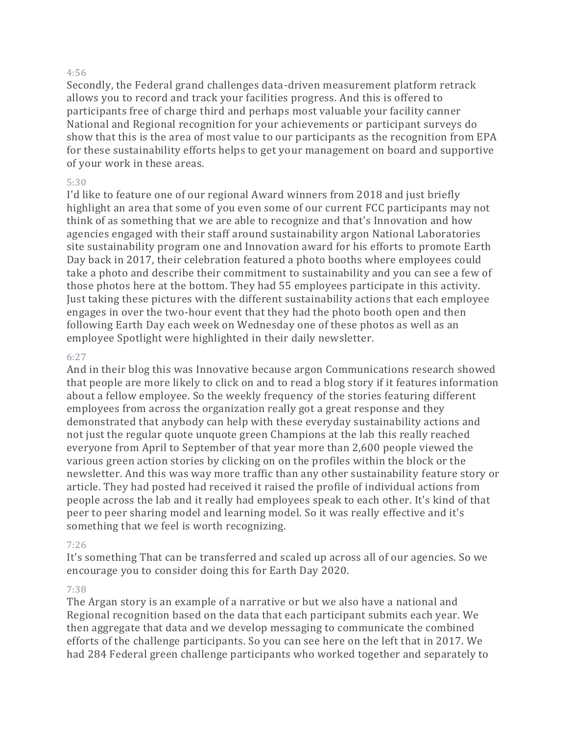#### 4:56

Secondly, the Federal grand challenges data-driven measurement platform retrack allows you to record and track your facilities progress. And this is offered to participants free of charge third and perhaps most valuable your facility canner National and Regional recognition for your achievements or participant surveys do show that this is the area of most value to our participants as the recognition from EPA for these sustainability efforts helps to get your management on board and supportive of your work in these areas.

## 5:30

I'd like to feature one of our regional Award winners from 2018 and just briefly highlight an area that some of you even some of our current FCC participants may not think of as something that we are able to recognize and that's Innovation and how agencies engaged with their staff around sustainability argon National Laboratories site sustainability program one and Innovation award for his efforts to promote Earth Day back in 2017, their celebration featured a photo booths where employees could take a photo and describe their commitment to sustainability and you can see a few of those photos here at the bottom. They had 55 employees participate in this activity. Just taking these pictures with the different sustainability actions that each employee engages in over the two-hour event that they had the photo booth open and then following Earth Day each week on Wednesday one of these photos as well as an employee Spotlight were highlighted in their daily newsletter.

## 6:27

And in their blog this was Innovative because argon Communications research showed that people are more likely to click on and to read a blog story if it features information about a fellow employee. So the weekly frequency of the stories featuring different employees from across the organization really got a great response and they demonstrated that anybody can help with these everyday sustainability actions and not just the regular quote unquote green Champions at the lab this really reached everyone from April to September of that year more than 2,600 people viewed the various green action stories by clicking on on the profiles within the block or the newsletter. And this was way more traffic than any other sustainability feature story or article. They had posted had received it raised the profile of individual actions from people across the lab and it really had employees speak to each other. It's kind of that peer to peer sharing model and learning model. So it was really effective and it's something that we feel is worth recognizing.

## 7:26

It's something That can be transferred and scaled up across all of our agencies. So we encourage you to consider doing this for Earth Day 2020.

## 7:38

The Argan story is an example of a narrative or but we also have a national and Regional recognition based on the data that each participant submits each year. We then aggregate that data and we develop messaging to communicate the combined efforts of the challenge participants. So you can see here on the left that in 2017. We had 284 Federal green challenge participants who worked together and separately to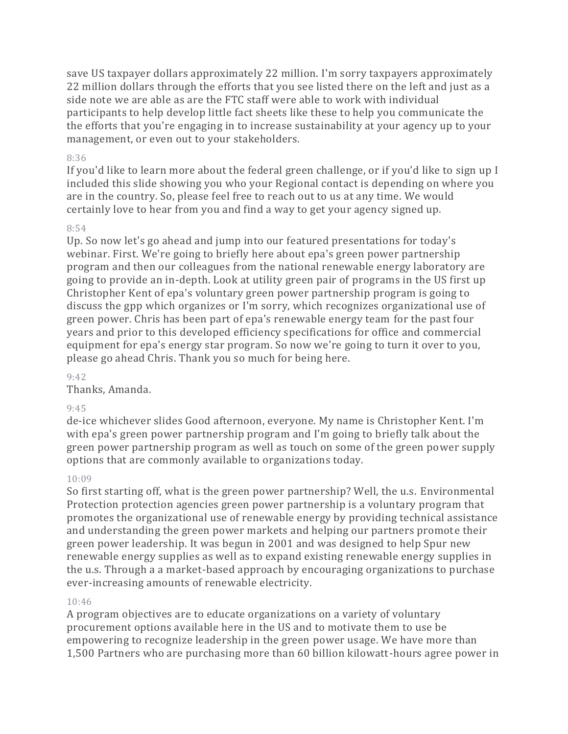save US taxpayer dollars approximately 22 million. I'm sorry taxpayers approximately 22 million dollars through the efforts that you see listed there on the left and just as a side note we are able as are the FTC staff were able to work with individual participants to help develop little fact sheets like these to help you communicate the the efforts that you're engaging in to increase sustainability at your agency up to your management, or even out to your stakeholders.

## 8:36

If you'd like to learn more about the federal green challenge, or if you'd like to sign up I included this slide showing you who your Regional contact is depending on where you are in the country. So, please feel free to reach out to us at any time. We would certainly love to hear from you and find a way to get your agency signed up.

# 8:54

Up. So now let's go ahead and jump into our featured presentations for today's webinar. First. We're going to briefly here about epa's green power partnership program and then our colleagues from the national renewable energy laboratory are going to provide an in-depth. Look at utility green pair of programs in the US first up Christopher Kent of epa's voluntary green power partnership program is going to discuss the gpp which organizes or I'm sorry, which recognizes organizational use of green power. Chris has been part of epa's renewable energy team for the past four years and prior to this developed efficiency specifications for office and commercial equipment for epa's energy star program. So now we're going to turn it over to you, please go ahead Chris. Thank you so much for being here.

 $9:42$ 

Thanks, Amanda.

# 9:45

de-ice whichever slides Good afternoon, everyone. My name is Christopher Kent. I'm with epa's green power partnership program and I'm going to briefly talk about the green power partnership program as well as touch on some of the green power supply options that are commonly available to organizations today.

# 10:09

So first starting off, what is the green power partnership? Well, the u.s. Environmental Protection protection agencies green power partnership is a voluntary program that promotes the organizational use of renewable energy by providing technical assistance and understanding the green power markets and helping our partners promote their green power leadership. It was begun in 2001 and was designed to help Spur new renewable energy supplies as well as to expand existing renewable energy supplies in the u.s. Through a a market-based approach by encouraging organizations to purchase ever-increasing amounts of renewable electricity.

# 10:46

A program objectives are to educate organizations on a variety of voluntary procurement options available here in the US and to motivate them to use be empowering to recognize leadership in the green power usage. We have more than 1,500 Partners who are purchasing more than 60 billion kilowatt-hours agree power in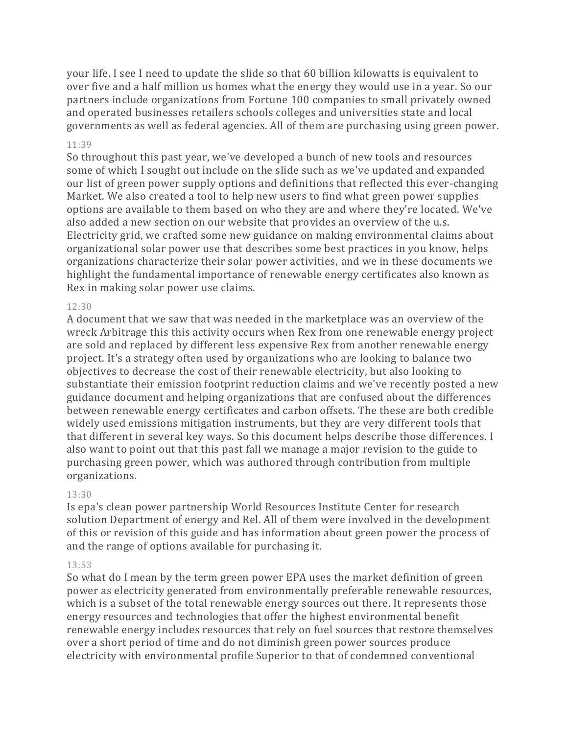your life. I see I need to update the slide so that 60 billion kilowatts is equivalent to over five and a half million us homes what the energy they would use in a year. So our partners include organizations from Fortune 100 companies to small privately owned and operated businesses retailers schools colleges and universities state and local governments as well as federal agencies. All of them are purchasing using green power.

## 11:39

So throughout this past year, we've developed a bunch of new tools and resources some of which I sought out include on the slide such as we've updated and expanded our list of green power supply options and definitions that reflected this ever-changing Market. We also created a tool to help new users to find what green power supplies options are available to them based on who they are and where they're located. We've also added a new section on our website that provides an overview of the u.s. Electricity grid, we crafted some new guidance on making environmental claims about organizational solar power use that describes some best practices in you know, helps organizations characterize their solar power activities, and we in these documents we highlight the fundamental importance of renewable energy certificates also known as Rex in making solar power use claims.

# 12:30

A document that we saw that was needed in the marketplace was an overview of the wreck Arbitrage this this activity occurs when Rex from one renewable energy project are sold and replaced by different less expensive Rex from another renewable energy project. It's a strategy often used by organizations who are looking to balance two objectives to decrease the cost of their renewable electricity, but also looking to substantiate their emission footprint reduction claims and we've recently posted a new guidance document and helping organizations that are confused about the differences between renewable energy certificates and carbon offsets. The these are both credible widely used emissions mitigation instruments, but they are very different tools that that different in several key ways. So this document helps describe those differences. I also want to point out that this past fall we manage a major revision to the guide to purchasing green power, which was authored through contribution from multiple organizations.

# 13:30

Is epa's clean power partnership World Resources Institute Center for research solution Department of energy and Rel. All of them were involved in the development of this or revision of this guide and has information about green power the process of and the range of options available for purchasing it.

## 13:53

So what do I mean by the term green power EPA uses the market definition of green power as electricity generated from environmentally preferable renewable resources, which is a subset of the total renewable energy sources out there. It represents those energy resources and technologies that offer the highest environmental benefit renewable energy includes resources that rely on fuel sources that restore themselves over a short period of time and do not diminish green power sources produce electricity with environmental profile Superior to that of condemned conventional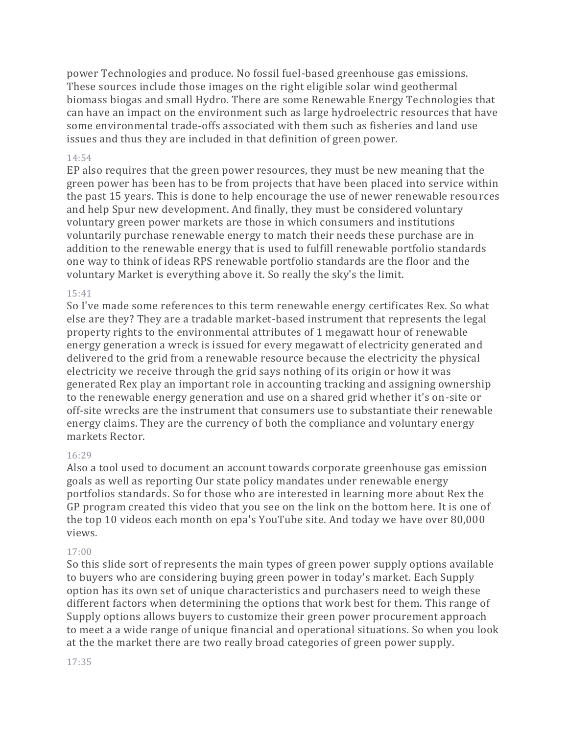power Technologies and produce. No fossil fuel-based greenhouse gas emissions. These sources include those images on the right eligible solar wind geothermal biomass biogas and small Hydro. There are some Renewable Energy Technologies that can have an impact on the environment such as large hydroelectric resources that have some environmental trade-offs associated with them such as fisheries and land use issues and thus they are included in that definition of green power.

## 14:54

EP also requires that the green power resources, they must be new meaning that the green power has been has to be from projects that have been placed into service within the past 15 years. This is done to help encourage the use of newer renewable resources and help Spur new development. And finally, they must be considered voluntary voluntary green power markets are those in which consumers and institutions voluntarily purchase renewable energy to match their needs these purchase are in addition to the renewable energy that is used to fulfill renewable portfolio standards one way to think of ideas RPS renewable portfolio standards are the floor and the voluntary Market is everything above it. So really the sky's the limit.

## 15:41

So I've made some references to this term renewable energy certificates Rex. So what else are they? They are a tradable market-based instrument that represents the legal property rights to the environmental attributes of 1 megawatt hour of renewable energy generation a wreck is issued for every megawatt of electricity generated and delivered to the grid from a renewable resource because the electricity the physical electricity we receive through the grid says nothing of its origin or how it was generated Rex play an important role in accounting tracking and assigning ownership to the renewable energy generation and use on a shared grid whether it's on-site or off-site wrecks are the instrument that consumers use to substantiate their renewable energy claims. They are the currency of both the compliance and voluntary energy markets Rector.

## 16:29

Also a tool used to document an account towards corporate greenhouse gas emission goals as well as reporting Our state policy mandates under renewable energy portfolios standards. So for those who are interested in learning more about Rex the GP program created this video that you see on the link on the bottom here. It is one of the top 10 videos each month on epa's YouTube site. And today we have over 80,000 views.

# 17:00

So this slide sort of represents the main types of green power supply options available to buyers who are considering buying green power in today's market. Each Supply option has its own set of unique characteristics and purchasers need to weigh these different factors when determining the options that work best for them. This range of Supply options allows buyers to customize their green power procurement approach to meet a a wide range of unique financial and operational situations. So when you look at the the market there are two really broad categories of green power supply.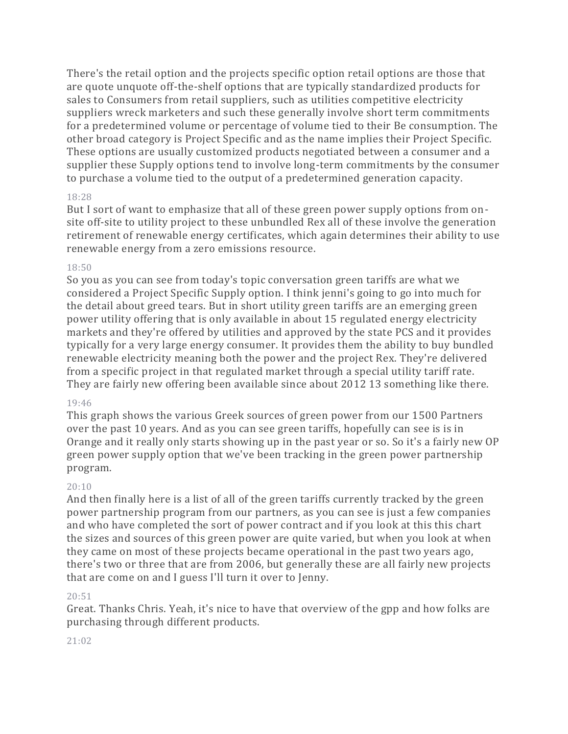There's the retail option and the projects specific option retail options are those that are quote unquote off-the-shelf options that are typically standardized products for sales to Consumers from retail suppliers, such as utilities competitive electricity suppliers wreck marketers and such these generally involve short term commitments for a predetermined volume or percentage of volume tied to their Be consumption. The other broad category is Project Specific and as the name implies their Project Specific. These options are usually customized products negotiated between a consumer and a supplier these Supply options tend to involve long-term commitments by the consumer to purchase a volume tied to the output of a predetermined generation capacity.

## 18:28

But I sort of want to emphasize that all of these green power supply options from onsite off-site to utility project to these unbundled Rex all of these involve the generation retirement of renewable energy certificates, which again determines their ability to use renewable energy from a zero emissions resource.

## 18:50

So you as you can see from today's topic conversation green tariffs are what we considered a Project Specific Supply option. I think jenni's going to go into much for the detail about greed tears. But in short utility green tariffs are an emerging green power utility offering that is only available in about 15 regulated energy electricity markets and they're offered by utilities and approved by the state PCS and it provides typically for a very large energy consumer. It provides them the ability to buy bundled renewable electricity meaning both the power and the project Rex. They're delivered from a specific project in that regulated market through a special utility tariff rate. They are fairly new offering been available since about 2012 13 something like there.

## 19:46

This graph shows the various Greek sources of green power from our 1500 Partners over the past 10 years. And as you can see green tariffs, hopefully can see is is in Orange and it really only starts showing up in the past year or so. So it's a fairly new OP green power supply option that we've been tracking in the green power partnership program.

# 20:10

And then finally here is a list of all of the green tariffs currently tracked by the green power partnership program from our partners, as you can see is just a few companies and who have completed the sort of power contract and if you look at this this chart the sizes and sources of this green power are quite varied, but when you look at when they came on most of these projects became operational in the past two years ago, there's two or three that are from 2006, but generally these are all fairly new projects that are come on and I guess I'll turn it over to Jenny.

# 20:51

Great. Thanks Chris. Yeah, it's nice to have that overview of the gpp and how folks are purchasing through different products.

## 21:02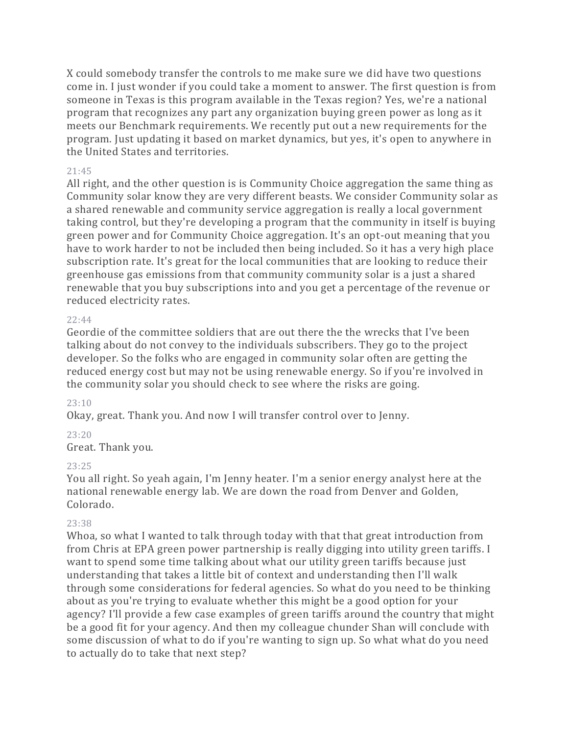X could somebody transfer the controls to me make sure we did have two questions come in. I just wonder if you could take a moment to answer. The first question is from someone in Texas is this program available in the Texas region? Yes, we're a national program that recognizes any part any organization buying green power as long as it meets our Benchmark requirements. We recently put out a new requirements for the program. Just updating it based on market dynamics, but yes, it's open to anywhere in the United States and territories.

## 21:45

All right, and the other question is is Community Choice aggregation the same thing as Community solar know they are very different beasts. We consider Community solar as a shared renewable and community service aggregation is really a local government taking control, but they're developing a program that the community in itself is buying green power and for Community Choice aggregation. It's an opt-out meaning that you have to work harder to not be included then being included. So it has a very high place subscription rate. It's great for the local communities that are looking to reduce their greenhouse gas emissions from that community community solar is a just a shared renewable that you buy subscriptions into and you get a percentage of the revenue or reduced electricity rates.

## 22:44

Geordie of the committee soldiers that are out there the the wrecks that I've been talking about do not convey to the individuals subscribers. They go to the project developer. So the folks who are engaged in community solar often are getting the reduced energy cost but may not be using renewable energy. So if you're involved in the community solar you should check to see where the risks are going.

## 23:10

Okay, great. Thank you. And now I will transfer control over to Jenny.

# 23:20

Great. Thank you.

# 23:25

You all right. So yeah again, I'm Jenny heater. I'm a senior energy analyst here at the national renewable energy lab. We are down the road from Denver and Golden, Colorado.

# 23:38

Whoa, so what I wanted to talk through today with that that great introduction from from Chris at EPA green power partnership is really digging into utility green tariffs. I want to spend some time talking about what our utility green tariffs because just understanding that takes a little bit of context and understanding then I'll walk through some considerations for federal agencies. So what do you need to be thinking about as you're trying to evaluate whether this might be a good option for your agency? I'll provide a few case examples of green tariffs around the country that might be a good fit for your agency. And then my colleague chunder Shan will conclude with some discussion of what to do if you're wanting to sign up. So what what do you need to actually do to take that next step?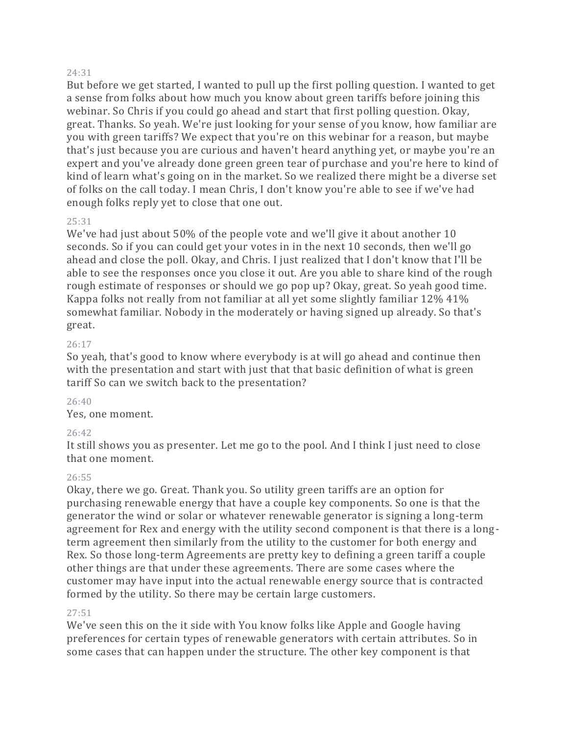#### 24:31

But before we get started, I wanted to pull up the first polling question. I wanted to get a sense from folks about how much you know about green tariffs before joining this webinar. So Chris if you could go ahead and start that first polling question. Okay, great. Thanks. So yeah. We're just looking for your sense of you know, how familiar are you with green tariffs? We expect that you're on this webinar for a reason, but maybe that's just because you are curious and haven't heard anything yet, or maybe you're an expert and you've already done green green tear of purchase and you're here to kind of kind of learn what's going on in the market. So we realized there might be a diverse set of folks on the call today. I mean Chris, I don't know you're able to see if we've had enough folks reply yet to close that one out.

## 25:31

We've had just about 50% of the people vote and we'll give it about another 10 seconds. So if you can could get your votes in in the next 10 seconds, then we'll go ahead and close the poll. Okay, and Chris. I just realized that I don't know that I'll be able to see the responses once you close it out. Are you able to share kind of the rough rough estimate of responses or should we go pop up? Okay, great. So yeah good time. Kappa folks not really from not familiar at all yet some slightly familiar 12% 41% somewhat familiar. Nobody in the moderately or having signed up already. So that's great.

## 26:17

So yeah, that's good to know where everybody is at will go ahead and continue then with the presentation and start with just that that basic definition of what is green tariff So can we switch back to the presentation?

# 26:40

Yes, one moment.

# 26:42

It still shows you as presenter. Let me go to the pool. And I think I just need to close that one moment.

## 26:55

Okay, there we go. Great. Thank you. So utility green tariffs are an option for purchasing renewable energy that have a couple key components. So one is that the generator the wind or solar or whatever renewable generator is signing a long-term agreement for Rex and energy with the utility second component is that there is a longterm agreement then similarly from the utility to the customer for both energy and Rex. So those long-term Agreements are pretty key to defining a green tariff a couple other things are that under these agreements. There are some cases where the customer may have input into the actual renewable energy source that is contracted formed by the utility. So there may be certain large customers.

## 27:51

We've seen this on the it side with You know folks like Apple and Google having preferences for certain types of renewable generators with certain attributes. So in some cases that can happen under the structure. The other key component is that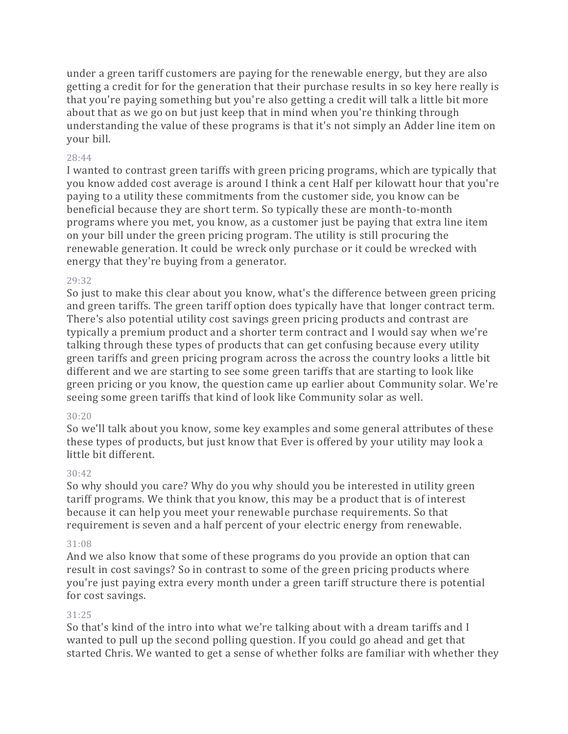under a green tariff customers are paying for the renewable energy, but they are also getting a credit for for the generation that their purchase results in so key here really is that you're paying something but you're also getting a credit will talk a little bit more about that as we go on but just keep that in mind when you're thinking through understanding the value of these programs is that it's not simply an Adder line item on your bill.

## 28:44

I wanted to contrast green tariffs with green pricing programs, which are typically that you know added cost average is around I think a cent Half per kilowatt hour that you're paying to a utility these commitments from the customer side, you know can be beneficial because they are short term. So typically these are month-to-month programs where you met, you know, as a customer just be paying that extra line item on your bill under the green pricing program. The utility is still procuring the renewable generation. It could be wreck only purchase or it could be wrecked with energy that they're buying from a generator.

## 29:32

So just to make this clear about you know, what's the difference between green pricing and green tariffs. The green tariff option does typically have that longer contract term. There's also potential utility cost savings green pricing products and contrast are typically a premium product and a shorter term contract and I would say when we're talking through these types of products that can get confusing because every utility green tariffs and green pricing program across the across the country looks a little bit different and we are starting to see some green tariffs that are starting to look like green pricing or you know, the question came up earlier about Community solar. We're seeing some green tariffs that kind of look like Community solar as well.

## 30:20

So we'll talk about you know, some key examples and some general attributes of these these types of products, but just know that Ever is offered by your utility may look a little bit different.

# $30.42$

So why should you care? Why do you why should you be interested in utility green tariff programs. We think that you know, this may be a product that is of interest because it can help you meet your renewable purchase requirements. So that requirement is seven and a half percent of your electric energy from renewable.

## 31:08

And we also know that some of these programs do you provide an option that can result in cost savings? So in contrast to some of the green pricing products where you're just paying extra every month under a green tariff structure there is potential for cost savings.

# 31:25

So that's kind of the intro into what we're talking about with a dream tariffs and I wanted to pull up the second polling question. If you could go ahead and get that started Chris. We wanted to get a sense of whether folks are familiar with whether they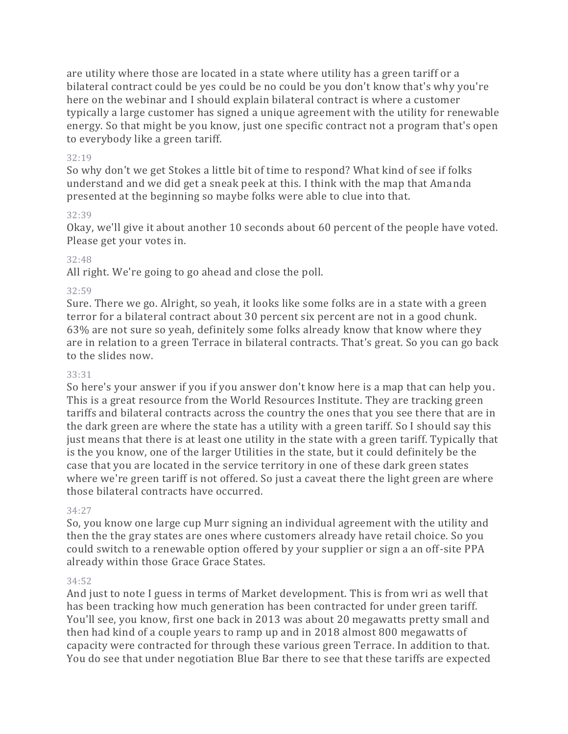are utility where those are located in a state where utility has a green tariff or a bilateral contract could be yes could be no could be you don't know that's why you're here on the webinar and I should explain bilateral contract is where a customer typically a large customer has signed a unique agreement with the utility for renewable energy. So that might be you know, just one specific contract not a program that's open to everybody like a green tariff.

## 32:19

So why don't we get Stokes a little bit of time to respond? What kind of see if folks understand and we did get a sneak peek at this. I think with the map that Amanda presented at the beginning so maybe folks were able to clue into that.

# 32:39

Okay, we'll give it about another 10 seconds about 60 percent of the people have voted. Please get your votes in.

# 32:48

All right. We're going to go ahead and close the poll.

# 32:59

Sure. There we go. Alright, so yeah, it looks like some folks are in a state with a green terror for a bilateral contract about 30 percent six percent are not in a good chunk. 63% are not sure so yeah, definitely some folks already know that know where they are in relation to a green Terrace in bilateral contracts. That's great. So you can go back to the slides now.

# 33:31

So here's your answer if you if you answer don't know here is a map that can help you. This is a great resource from the World Resources Institute. They are tracking green tariffs and bilateral contracts across the country the ones that you see there that are in the dark green are where the state has a utility with a green tariff. So I should say this just means that there is at least one utility in the state with a green tariff. Typically that is the you know, one of the larger Utilities in the state, but it could definitely be the case that you are located in the service territory in one of these dark green states where we're green tariff is not offered. So just a caveat there the light green are where those bilateral contracts have occurred.

## 34:27

So, you know one large cup Murr signing an individual agreement with the utility and then the the gray states are ones where customers already have retail choice. So you could switch to a renewable option offered by your supplier or sign a an off-site PPA already within those Grace Grace States.

# 34:52

And just to note I guess in terms of Market development. This is from wri as well that has been tracking how much generation has been contracted for under green tariff. You'll see, you know, first one back in 2013 was about 20 megawatts pretty small and then had kind of a couple years to ramp up and in 2018 almost 800 megawatts of capacity were contracted for through these various green Terrace. In addition to that. You do see that under negotiation Blue Bar there to see that these tariffs are expected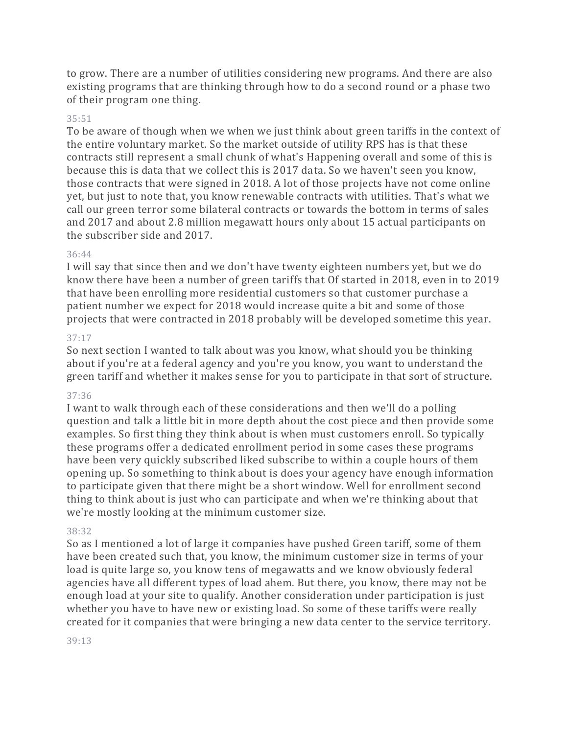to grow. There are a number of utilities considering new programs. And there are also existing programs that are thinking through how to do a second round or a phase two of their program one thing.

## 35:51

To be aware of though when we when we just think about green tariffs in the context of the entire voluntary market. So the market outside of utility RPS has is that these contracts still represent a small chunk of what's Happening overall and some of this is because this is data that we collect this is 2017 data. So we haven't seen you know, those contracts that were signed in 2018. A lot of those projects have not come online yet, but just to note that, you know renewable contracts with utilities. That's what we call our green terror some bilateral contracts or towards the bottom in terms of sales and 2017 and about 2.8 million megawatt hours only about 15 actual participants on the subscriber side and 2017.

## 36:44

I will say that since then and we don't have twenty eighteen numbers yet, but we do know there have been a number of green tariffs that Of started in 2018, even in to 2019 that have been enrolling more residential customers so that customer purchase a patient number we expect for 2018 would increase quite a bit and some of those projects that were contracted in 2018 probably will be developed sometime this year.

## 37:17

So next section I wanted to talk about was you know, what should you be thinking about if you're at a federal agency and you're you know, you want to understand the green tariff and whether it makes sense for you to participate in that sort of structure.

## 37:36

I want to walk through each of these considerations and then we'll do a polling question and talk a little bit in more depth about the cost piece and then provide some examples. So first thing they think about is when must customers enroll. So typically these programs offer a dedicated enrollment period in some cases these programs have been very quickly subscribed liked subscribe to within a couple hours of them opening up. So something to think about is does your agency have enough information to participate given that there might be a short window. Well for enrollment second thing to think about is just who can participate and when we're thinking about that we're mostly looking at the minimum customer size.

## 38:32

So as I mentioned a lot of large it companies have pushed Green tariff, some of them have been created such that, you know, the minimum customer size in terms of your load is quite large so, you know tens of megawatts and we know obviously federal agencies have all different types of load ahem. But there, you know, there may not be enough load at your site to qualify. Another consideration under participation is just whether you have to have new or existing load. So some of these tariffs were really created for it companies that were bringing a new data center to the service territory.

#### 39:13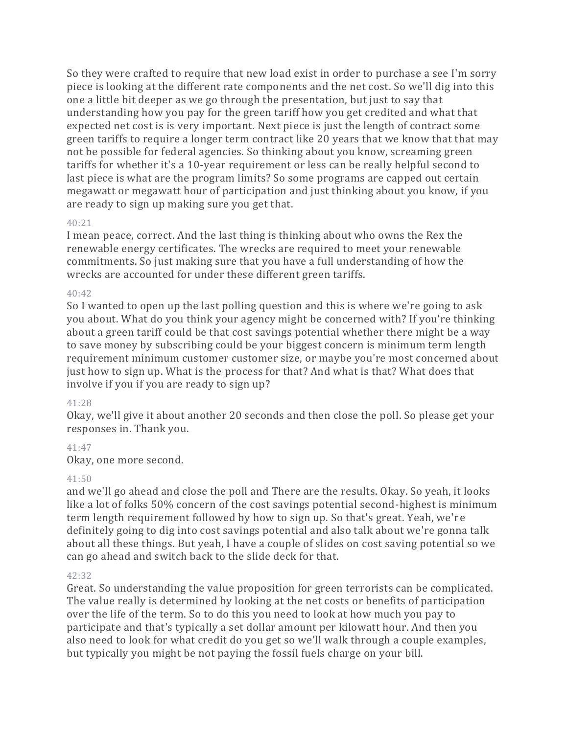So they were crafted to require that new load exist in order to purchase a see I'm sorry piece is looking at the different rate components and the net cost. So we'll dig into this one a little bit deeper as we go through the presentation, but just to say that understanding how you pay for the green tariff how you get credited and what that expected net cost is is very important. Next piece is just the length of contract some green tariffs to require a longer term contract like 20 years that we know that that may not be possible for federal agencies. So thinking about you know, screaming green tariffs for whether it's a 10-year requirement or less can be really helpful second to last piece is what are the program limits? So some programs are capped out certain megawatt or megawatt hour of participation and just thinking about you know, if you are ready to sign up making sure you get that.

## 40:21

I mean peace, correct. And the last thing is thinking about who owns the Rex the renewable energy certificates. The wrecks are required to meet your renewable commitments. So just making sure that you have a full understanding of how the wrecks are accounted for under these different green tariffs.

## $40:42$

So I wanted to open up the last polling question and this is where we're going to ask you about. What do you think your agency might be concerned with? If you're thinking about a green tariff could be that cost savings potential whether there might be a way to save money by subscribing could be your biggest concern is minimum term length requirement minimum customer customer size, or maybe you're most concerned about just how to sign up. What is the process for that? And what is that? What does that involve if you if you are ready to sign up?

# 41:28

Okay, we'll give it about another 20 seconds and then close the poll. So please get your responses in. Thank you.

## 41:47

Okay, one more second.

## 41:50

and we'll go ahead and close the poll and There are the results. Okay. So yeah, it looks like a lot of folks 50% concern of the cost savings potential second-highest is minimum term length requirement followed by how to sign up. So that's great. Yeah, we're definitely going to dig into cost savings potential and also talk about we're gonna talk about all these things. But yeah, I have a couple of slides on cost saving potential so we can go ahead and switch back to the slide deck for that.

# 42:32

Great. So understanding the value proposition for green terrorists can be complicated. The value really is determined by looking at the net costs or benefits of participation over the life of the term. So to do this you need to look at how much you pay to participate and that's typically a set dollar amount per kilowatt hour. And then you also need to look for what credit do you get so we'll walk through a couple examples, but typically you might be not paying the fossil fuels charge on your bill.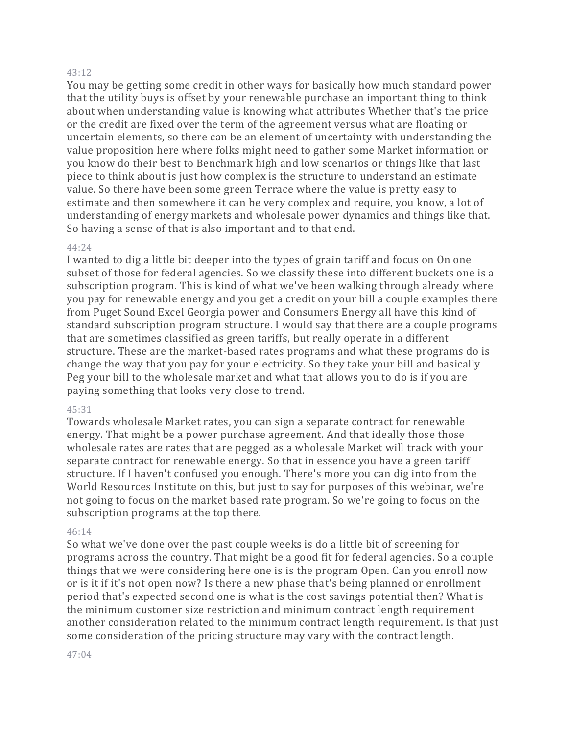#### 43:12

You may be getting some credit in other ways for basically how much standard power that the utility buys is offset by your renewable purchase an important thing to think about when understanding value is knowing what attributes Whether that's the price or the credit are fixed over the term of the agreement versus what are floating or uncertain elements, so there can be an element of uncertainty with understanding the value proposition here where folks might need to gather some Market information or you know do their best to Benchmark high and low scenarios or things like that last piece to think about is just how complex is the structure to understand an estimate value. So there have been some green Terrace where the value is pretty easy to estimate and then somewhere it can be very complex and require, you know, a lot of understanding of energy markets and wholesale power dynamics and things like that. So having a sense of that is also important and to that end.

#### 44:24

I wanted to dig a little bit deeper into the types of grain tariff and focus on On one subset of those for federal agencies. So we classify these into different buckets one is a subscription program. This is kind of what we've been walking through already where you pay for renewable energy and you get a credit on your bill a couple examples there from Puget Sound Excel Georgia power and Consumers Energy all have this kind of standard subscription program structure. I would say that there are a couple programs that are sometimes classified as green tariffs, but really operate in a different structure. These are the market-based rates programs and what these programs do is change the way that you pay for your electricity. So they take your bill and basically Peg your bill to the wholesale market and what that allows you to do is if you are paying something that looks very close to trend.

#### 45:31

Towards wholesale Market rates, you can sign a separate contract for renewable energy. That might be a power purchase agreement. And that ideally those those wholesale rates are rates that are pegged as a wholesale Market will track with your separate contract for renewable energy. So that in essence you have a green tariff structure. If I haven't confused you enough. There's more you can dig into from the World Resources Institute on this, but just to say for purposes of this webinar, we're not going to focus on the market based rate program. So we're going to focus on the subscription programs at the top there.

#### 46:14

So what we've done over the past couple weeks is do a little bit of screening for programs across the country. That might be a good fit for federal agencies. So a couple things that we were considering here one is is the program Open. Can you enroll now or is it if it's not open now? Is there a new phase that's being planned or enrollment period that's expected second one is what is the cost savings potential then? What is the minimum customer size restriction and minimum contract length requirement another consideration related to the minimum contract length requirement. Is that just some consideration of the pricing structure may vary with the contract length.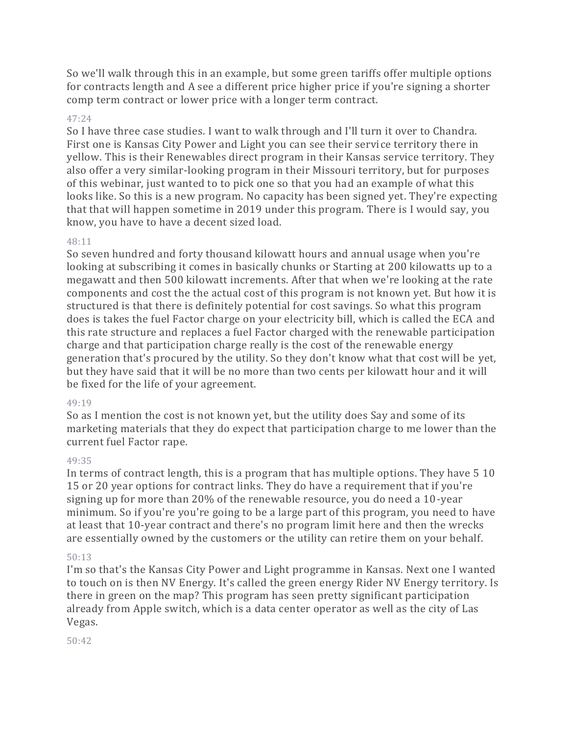So we'll walk through this in an example, but some green tariffs offer multiple options for contracts length and A see a different price higher price if you're signing a shorter comp term contract or lower price with a longer term contract.

## 47:24

So I have three case studies. I want to walk through and I'll turn it over to Chandra. First one is Kansas City Power and Light you can see their service territory there in yellow. This is their Renewables direct program in their Kansas service territory. They also offer a very similar-looking program in their Missouri territory, but for purposes of this webinar, just wanted to to pick one so that you had an example of what this looks like. So this is a new program. No capacity has been signed yet. They're expecting that that will happen sometime in 2019 under this program. There is I would say, you know, you have to have a decent sized load.

## 48:11

So seven hundred and forty thousand kilowatt hours and annual usage when you're looking at subscribing it comes in basically chunks or Starting at 200 kilowatts up to a megawatt and then 500 kilowatt increments. After that when we're looking at the rate components and cost the the actual cost of this program is not known yet. But how it is structured is that there is definitely potential for cost savings. So what this program does is takes the fuel Factor charge on your electricity bill, which is called the ECA and this rate structure and replaces a fuel Factor charged with the renewable participation charge and that participation charge really is the cost of the renewable energy generation that's procured by the utility. So they don't know what that cost will be yet, but they have said that it will be no more than two cents per kilowatt hour and it will be fixed for the life of your agreement.

## 49:19

So as I mention the cost is not known yet, but the utility does Say and some of its marketing materials that they do expect that participation charge to me lower than the current fuel Factor rape.

## 49:35

In terms of contract length, this is a program that has multiple options. They have 5 10 15 or 20 year options for contract links. They do have a requirement that if you're signing up for more than 20% of the renewable resource, you do need a 10-year minimum. So if you're you're going to be a large part of this program, you need to have at least that 10-year contract and there's no program limit here and then the wrecks are essentially owned by the customers or the utility can retire them on your behalf.

## 50:13

I'm so that's the Kansas City Power and Light programme in Kansas. Next one I wanted to touch on is then NV Energy. It's called the green energy Rider NV Energy territory. Is there in green on the map? This program has seen pretty significant participation already from Apple switch, which is a data center operator as well as the city of Las Vegas.

50:42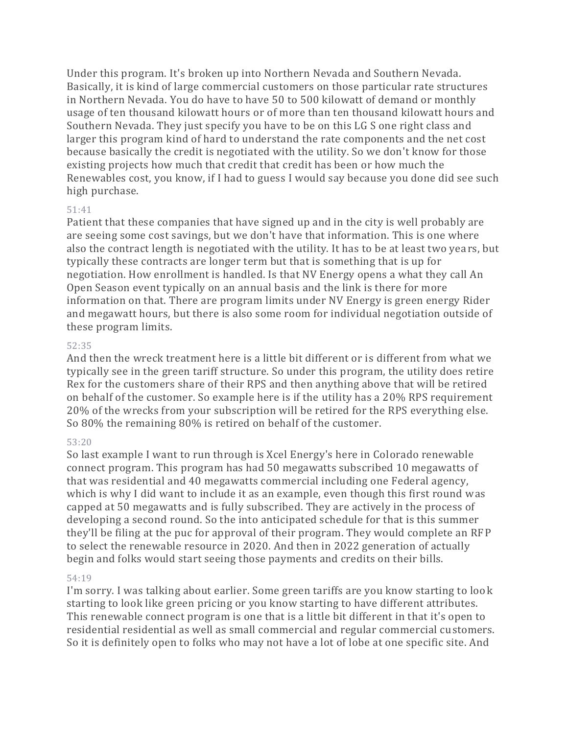Under this program. It's broken up into Northern Nevada and Southern Nevada. Basically, it is kind of large commercial customers on those particular rate structures in Northern Nevada. You do have to have 50 to 500 kilowatt of demand or monthly usage of ten thousand kilowatt hours or of more than ten thousand kilowatt hours and Southern Nevada. They just specify you have to be on this LG S one right class and larger this program kind of hard to understand the rate components and the net cost because basically the credit is negotiated with the utility. So we don't know for those existing projects how much that credit that credit has been or how much the Renewables cost, you know, if I had to guess I would say because you done did see such high purchase.

#### 51:41

Patient that these companies that have signed up and in the city is well probably are are seeing some cost savings, but we don't have that information. This is one where also the contract length is negotiated with the utility. It has to be at least two yea rs, but typically these contracts are longer term but that is something that is up for negotiation. How enrollment is handled. Is that NV Energy opens a what they call An Open Season event typically on an annual basis and the link is there for more information on that. There are program limits under NV Energy is green energy Rider and megawatt hours, but there is also some room for individual negotiation outside of these program limits.

#### 52:35

And then the wreck treatment here is a little bit different or is different from what we typically see in the green tariff structure. So under this program, the utility does retire Rex for the customers share of their RPS and then anything above that will be retired on behalf of the customer. So example here is if the utility has a 20% RPS requirement 20% of the wrecks from your subscription will be retired for the RPS everything else. So 80% the remaining 80% is retired on behalf of the customer.

## 53:20

So last example I want to run through is Xcel Energy's here in Colorado renewable connect program. This program has had 50 megawatts subscribed 10 megawatts of that was residential and 40 megawatts commercial including one Federal agency, which is why I did want to include it as an example, even though this first round was capped at 50 megawatts and is fully subscribed. They are actively in the process of developing a second round. So the into anticipated schedule for that is this summer they'll be filing at the puc for approval of their program. They would complete an RFP to select the renewable resource in 2020. And then in 2022 generation of actually begin and folks would start seeing those payments and credits on their bills.

## 54:19

I'm sorry. I was talking about earlier. Some green tariffs are you know starting to look starting to look like green pricing or you know starting to have different attributes. This renewable connect program is one that is a little bit different in that it's open to residential residential as well as small commercial and regular commercial customers. So it is definitely open to folks who may not have a lot of lobe at one specific site. And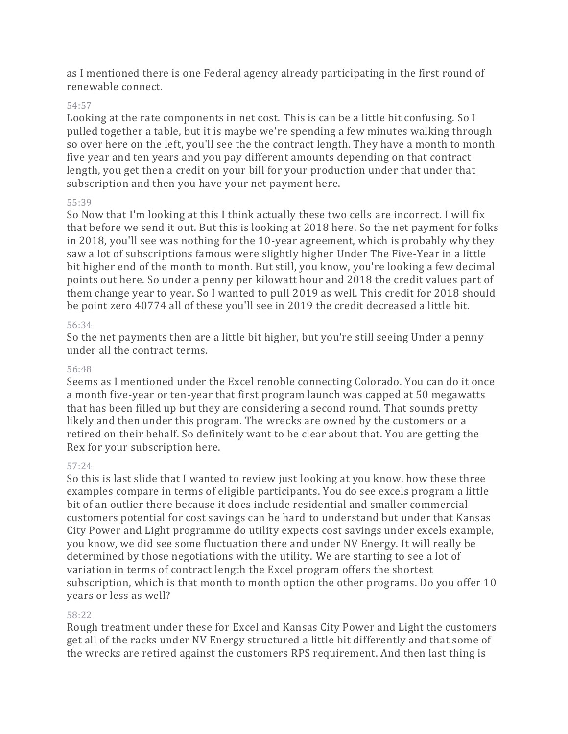as I mentioned there is one Federal agency already participating in the first round of renewable connect.

## 54:57

Looking at the rate components in net cost. This is can be a little bit confusing. So I pulled together a table, but it is maybe we're spending a few minutes walking through so over here on the left, you'll see the the contract length. They have a month to month five year and ten years and you pay different amounts depending on that contract length, you get then a credit on your bill for your production under that under that subscription and then you have your net payment here.

## 55:39

So Now that I'm looking at this I think actually these two cells are incorrect. I will fix that before we send it out. But this is looking at 2018 here. So the net payment for folks in 2018, you'll see was nothing for the 10-year agreement, which is probably why they saw a lot of subscriptions famous were slightly higher Under The Five-Year in a little bit higher end of the month to month. But still, you know, you're looking a few decimal points out here. So under a penny per kilowatt hour and 2018 the credit values part of them change year to year. So I wanted to pull 2019 as well. This credit for 2018 should be point zero 40774 all of these you'll see in 2019 the credit decreased a little bit.

## 56:34

So the net payments then are a little bit higher, but you're still seeing Under a penny under all the contract terms.

## 56:48

Seems as I mentioned under the Excel renoble connecting Colorado. You can do it once a month five-year or ten-year that first program launch was capped at 50 megawatts that has been filled up but they are considering a second round. That sounds pretty likely and then under this program. The wrecks are owned by the customers or a retired on their behalf. So definitely want to be clear about that. You are getting the Rex for your subscription here.

# 57:24

So this is last slide that I wanted to review just looking at you know, how these three examples compare in terms of eligible participants. You do see excels program a little bit of an outlier there because it does include residential and smaller commercial customers potential for cost savings can be hard to understand but under that Kansas City Power and Light programme do utility expects cost savings under excels example, you know, we did see some fluctuation there and under NV Energy. It will really be determined by those negotiations with the utility. We are starting to see a lot of variation in terms of contract length the Excel program offers the shortest subscription, which is that month to month option the other programs. Do you offer 10 years or less as well?

# 58:22

Rough treatment under these for Excel and Kansas City Power and Light the customers get all of the racks under NV Energy structured a little bit differently and that some of the wrecks are retired against the customers RPS requirement. And then last thing is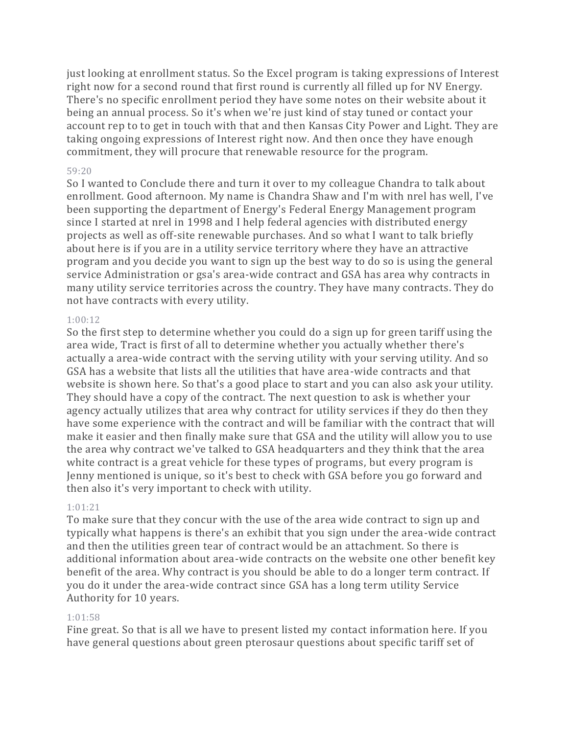just looking at enrollment status. So the Excel program is taking expressions of Interest right now for a second round that first round is currently all filled up for NV Energy. There's no specific enrollment period they have some notes on their website about it being an annual process. So it's when we're just kind of stay tuned or contact your account rep to to get in touch with that and then Kansas City Power and Light. They are taking ongoing expressions of Interest right now. And then once they have enough commitment, they will procure that renewable resource for the program.

## 59:20

So I wanted to Conclude there and turn it over to my colleague Chandra to talk about enrollment. Good afternoon. My name is Chandra Shaw and I'm with nrel has well, I've been supporting the department of Energy's Federal Energy Management program since I started at nrel in 1998 and I help federal agencies with distributed energy projects as well as off-site renewable purchases. And so what I want to talk briefly about here is if you are in a utility service territory where they have an attractive program and you decide you want to sign up the best way to do so is using the general service Administration or gsa's area-wide contract and GSA has area why contracts in many utility service territories across the country. They have many contracts. They do not have contracts with every utility.

## 1:00:12

So the first step to determine whether you could do a sign up for green tariff using the area wide, Tract is first of all to determine whether you actually whether there's actually a area-wide contract with the serving utility with your serving utility. And so GSA has a website that lists all the utilities that have area-wide contracts and that website is shown here. So that's a good place to start and you can also ask your utility. They should have a copy of the contract. The next question to ask is whether your agency actually utilizes that area why contract for utility services if they do then they have some experience with the contract and will be familiar with the contract that will make it easier and then finally make sure that GSA and the utility will allow you to use the area why contract we've talked to GSA headquarters and they think that the area white contract is a great vehicle for these types of programs, but every program is Jenny mentioned is unique, so it's best to check with GSA before you go forward and then also it's very important to check with utility.

## 1:01:21

To make sure that they concur with the use of the area wide contract to sign up and typically what happens is there's an exhibit that you sign under the area-wide contract and then the utilities green tear of contract would be an attachment. So there is additional information about area-wide contracts on the website one other benefit key benefit of the area. Why contract is you should be able to do a longer term contract. If you do it under the area-wide contract since GSA has a long term utility Service Authority for 10 years.

# 1:01:58

Fine great. So that is all we have to present listed my contact information here. If you have general questions about green pterosaur questions about specific tariff set of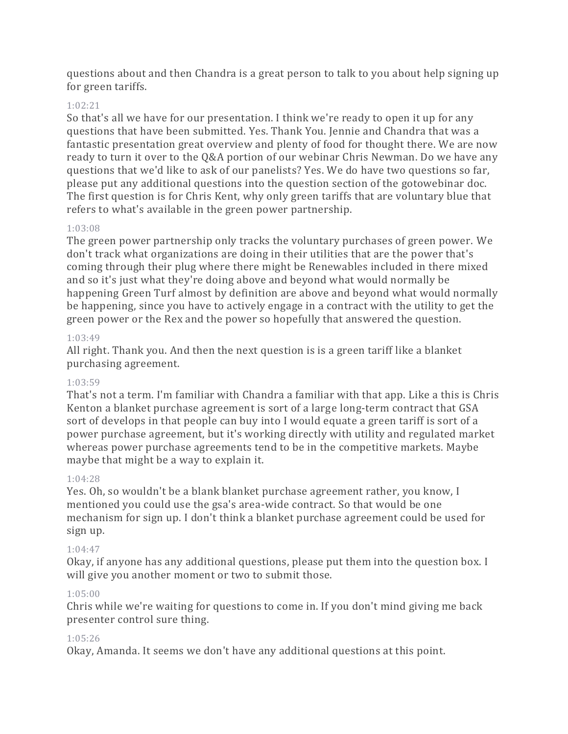questions about and then Chandra is a great person to talk to you about help signing up for green tariffs.

# 1:02:21

So that's all we have for our presentation. I think we're ready to open it up for any questions that have been submitted. Yes. Thank You. Jennie and Chandra that was a fantastic presentation great overview and plenty of food for thought there. We are now ready to turn it over to the Q&A portion of our webinar Chris Newman. Do we have any questions that we'd like to ask of our panelists? Yes. We do have two questions so far, please put any additional questions into the question section of the gotowebinar doc. The first question is for Chris Kent, why only green tariffs that are voluntary blue that refers to what's available in the green power partnership.

# 1:03:08

The green power partnership only tracks the voluntary purchases of green power. We don't track what organizations are doing in their utilities that are the power that's coming through their plug where there might be Renewables included in there mixed and so it's just what they're doing above and beyond what would normally be happening Green Turf almost by definition are above and beyond what would normally be happening, since you have to actively engage in a contract with the utility to get the green power or the Rex and the power so hopefully that answered the question.

## 1:03:49

All right. Thank you. And then the next question is is a green tariff like a blanket purchasing agreement.

# 1:03:59

That's not a term. I'm familiar with Chandra a familiar with that app. Like a this is Chris Kenton a blanket purchase agreement is sort of a large long-term contract that GSA sort of develops in that people can buy into I would equate a green tariff is sort of a power purchase agreement, but it's working directly with utility and regulated market whereas power purchase agreements tend to be in the competitive markets. Maybe maybe that might be a way to explain it.

# 1:04:28

Yes. Oh, so wouldn't be a blank blanket purchase agreement rather, you know, I mentioned you could use the gsa's area-wide contract. So that would be one mechanism for sign up. I don't think a blanket purchase agreement could be used for sign up.

# 1:04:47

Okay, if anyone has any additional questions, please put them into the question box. I will give you another moment or two to submit those.

# 1:05:00

Chris while we're waiting for questions to come in. If you don't mind giving me back presenter control sure thing.

## 1:05:26

Okay, Amanda. It seems we don't have any additional questions at this point.